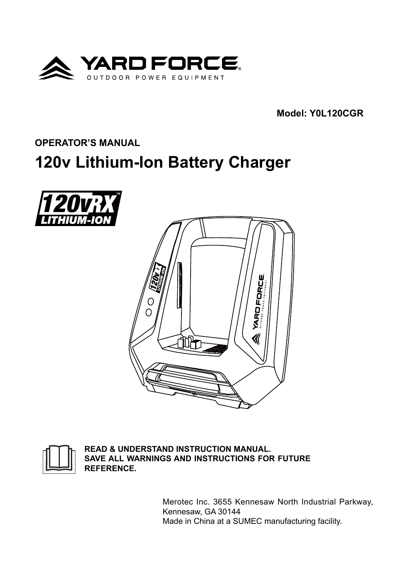

**Model: Y0L120CGR**

**OPERATOR'S MANUAL**

# **120v Lithium-Ion Battery Charger**







**READ & UNDERSTAND INSTRUCTION MANUAL. SAVE ALL WARNINGS AND INSTRUCTIONS FOR FUTURE REFERENCE.**

> Merotec Inc. 3655 Kennesaw North Industrial Parkway, Kennesaw, GA 30144 Made in China at a SUMEC manufacturing facility.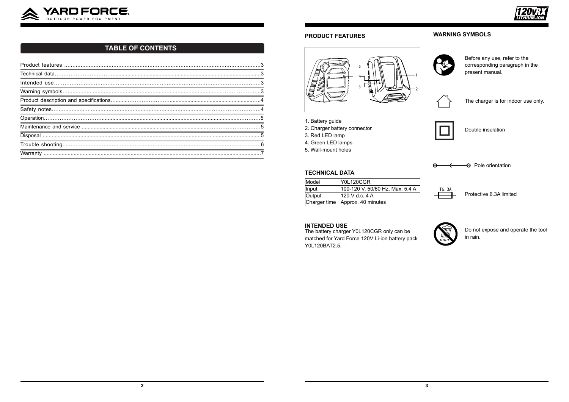

### **PRODUCT FEATURES**



- 1. Battery guide
- 2. Charger battery connector
- 3. Red LED lamp
- 4. Green LED lamps
- 5. Wall-mount holes

#### **TECHNICAL DATA**

| Model  | <b>Y0L120CGR</b>                |  |
|--------|---------------------------------|--|
| Input  | 100-120 V, 50/60 Hz, Max. 5.4 A |  |
| Output | 120 V d.c. 4 A                  |  |
|        | Charger time Approx. 40 minutes |  |

#### **INTENDED USE**

The battery charger Y0L120CGR only can be matched for Yard Force 120V Li-ion battery pack Y0L120BAT2.5.

# **WARNING SYMBOLS**



Before any use, refer to the corresponding paragraph in the present manual.



The charger is for indoor use only.



Double insulation

Protective 6.3A limited





Do not expose and operate the tool in rain.





# **TABLE OF CONTENTS**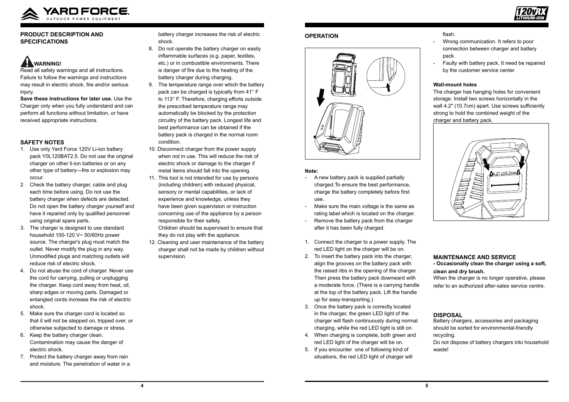



### **PRODUCT DESCRIPTION AND SPECIFICATIONS**

# **AL WARNING!**

Read all safety warnings and all instructions. Failure to follow the warnings and instructions may result in electric shock, fire and/or serious injury.

**Save these instructions for later use.** Use the Charger only when you fully understand and can perform all functions without limitation, or have received appropriate instructions.

## **SAFETY NOTES**

- 1. Use only Yard Force 120V Li-ion battery pack Y0L120BAT2.5. Do not use the original charger on other li-ion batteries or on any other type of battery—fire or explosion may occur.
- 2. Check the battery charger, cable and plug each time before using. Do not use the battery charger when defects are detected. Do not open the battery charger yourself and have it repaired only by qualified personnel using original spare parts.
- 3. The charger is designed to use standard household 100-120 V~ 50/60Hz power source. The charger's plug must match the outlet. Never modify the plug in any way. Unmodified plugs and matching outlets will reduce risk of electric shock.
- 4. Do not abuse the cord of charger. Never use the cord for carrying, pulling or unplugging the charger. Keep cord away from heat, oil, sharp edges or moving parts. Damaged or entangled cords increase the risk of electric shock.
- 5. Make sure the charger cord is located so that it will not be stepped on, tripped over, or otherwise subjected to damage or stress.
- 6. Keep the battery charger clean. Contamination may cause the danger of electric shock.
- 7. Protect the battery charger away from rain and moisture. The penetration of water in a

battery charger increases the risk of electric shock.

- Wrong communication. It refers to poor connection between charger and battery pack.
- Faulty with battery pack. It need be repaired by the customer service center.
- 8. Do not operate the battery charger on easily inflammable surfaces (e.g. paper, textiles, etc.) or in combustible environments. There is danger of fire due to the heating of the battery charger during charging.
- 9. The temperature range over which the battery pack can be charged is typically from 41° F to 113° F. Therefore, charging efforts outside the prescribed temperature range may automatically be blocked by the protection circuitry of the battery pack. Longest life and best performance can be obtained if the battery pack is charged in the normal room condition.
- 10. Disconnect charger from the power supply when not in use. This will reduce the risk of electric shock or damage to the charger if metal items should fall into the opening.
- 11. This tool is not intended for use by persons (including children) with reduced physical, sensory or mental capabilities, or lack of experience and knowledge, unless they have been given supervision or instruction concerning use of the appliance by a person responsible for their safety.

Children should be supervised to ensure that they do not play with the appliance.

12. Cleaning and user maintenance of the battery charger shall not be made by children without supervision.

#### **OPERATION**



#### **Note:**

- A new battery pack is supplied partially charged.To ensure the best performance, charge the battery completely before first use.
- Make sure the main voltage is the same as rating label which is located on the charger.
- Remove the battery pack from the charger after it has been fully charged.
- 1. Connect the charger to a power supply. The red LED light on the charger will be on.
- 2. To insert the battery pack into the charger, align the grooves on the battery pack with the raised ribs in the opening of the charger. Then press the battery pack downward with a moderate force. (There is a carrying handle at the top of the battery pack. Lift the handle up for easy-transporting.)
- 3. Once the battery pack is correctly located in the charger, the green LED light of the charger will flash continuously during normal charging, while the red LED light is still on.
- 4. When charging is complete, both green and red LED light of the charger will be on.
- 5. If you encounter one of following kind of situations, the red LED light of charger will

flash.

### **Wall-mount holes**

The charger has hanging holes for convenient storage. Install two screws horizontally in the wall 4.2" (10.7cm) apart. Use screws sufficiently strong to hold the combined weight of the charger and battery pack.

# **MAINTENANCE AND SERVICE**

## **- Occasionally clean the charger using a soft, clean and dry brush.**

When the charger is no longer operative, please refer to an authorized after-sales service centre.



# **DISPOSAL**

Battery chargers, accessories and packaging should be sorted for environmental-friendly recycling.

Do not dispose of battery chargers into household waste!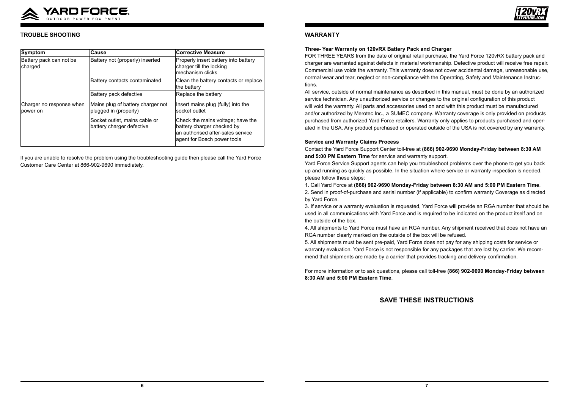

### **WARRANTY**

**Three- Year Warranty on 120vRX Battery Pack and Charger**  FOR THREE YEARS from the date of original retail purchase, the Yard Force 120vRX battery pack and charger are warranted against defects in material workmanship. Defective product will receive free repair. Commercial use voids the warranty. This warranty does not cover accidental damage, unreasonable use, normal wear and tear, neglect or non-compliance with the Operating, Safety and Maintenance Instructions.

All service, outside of normal maintenance as described in this manual, must be done by an authorized service technician. Any unauthorized service or changes to the original configuration of this product will void the warranty. All parts and accessories used on and with this product must be manufactured and/or authorized by Merotec Inc., a SUMEC company. Warranty coverage is only provided on products purchased from authorized Yard Force retailers. Warranty only applies to products purchased and operated in the USA. Any product purchased or operated outside of the USA is not covered by any warranty.

#### **Service and Warranty Claims Process**

Contact the Yard Force Support Center toll-free at **(866) 902-9690 Monday-Friday between 8:30 AM and 5:00 PM Eastern Time** for service and warranty support. Yard Force Service Support agents can help you troubleshoot problems over the phone to get you back up and running as quickly as possible. In the situation where service or warranty inspection is needed, please follow these steps:

1. Call Yard Force at **(866) 902-9690 Monday-Friday between 8:30 AM and 5:00 PM Eastern Time**.

2. Send in proof-of-purchase and serial number (if applicable) to confirm warranty Coverage as directed by Yard Force.

3. If service or a warranty evaluation is requested, Yard Force will provide an RGA number that should be used in all communications with Yard Force and is required to be indicated on the product itself and on the outside of the box.

4. All shipments to Yard Force must have an RGA number. Any shipment received that does not have an RGA number clearly marked on the outside of the box will be refused. 5. All shipments must be sent pre-paid, Yard Force does not pay for any shipping costs for service or warranty evaluation. Yard Force is not responsible for any packages that are lost by carrier. We recommend that shipments are made by a carrier that provides tracking and delivery confirmation.

For more information or to ask questions, please call toll-free **(866) 902-9690 Monday-Friday between 8:30 AM and 5:00 PM Eastern Time**.

# **SAVE THESE INSTRUCTIONS**



## **TROUBLE SHOOTING**

| Symptom                              | <b>Cause</b>                                               | <b>Corrective Measure</b>                                                                                                           |
|--------------------------------------|------------------------------------------------------------|-------------------------------------------------------------------------------------------------------------------------------------|
| Battery pack can not be<br>charged   | Battery not (properly) inserted                            | Properly insert battery into battery<br>charger till the locking<br>mechanism clicks                                                |
|                                      | Battery contacts contaminated                              | Clean the battery contacts or replace<br>the battery                                                                                |
|                                      | Battery pack defective                                     | Replace the battery                                                                                                                 |
| Charger no response when<br>power on | Mains plug of battery charger not<br>plugged in (properly) | Insert mains plug (fully) into the<br>socket outlet                                                                                 |
|                                      | Socket outlet, mains cable or<br>battery charger defective | Check the mains voltage; have the<br>battery charger checked by<br>an authorised after-sales service<br>agent for Bosch power tools |

If you are unable to resolve the problem using the troubleshooting guide then please call the Yard Force Customer Care Center at 866-902-9690 immediately.